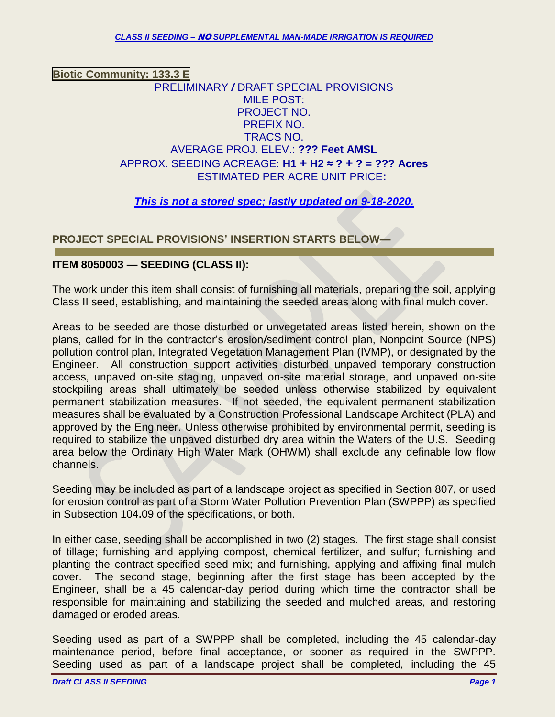## **Biotic Community: 133.3 E** PRELIMINARY */* DRAFT SPECIAL PROVISIONS MILE POST: PROJECT NO. PREFIX NO. TRACS NO. AVERAGE PROJ. ELEV.: **??? Feet AMSL** APPROX. SEEDING ACREAGE: **H1 + H2 ≈ ? + ? = ??? Acres** ESTIMATED PER ACRE UNIT PRICE**:**

## *This is not a stored spec; lastly updated on 9-18-2020.*

### **PROJECT SPECIAL PROVISIONS' INSERTION STARTS BELOW—**

#### **ITEM 8050003 — SEEDING (CLASS II):**

The work under this item shall consist of furnishing all materials, preparing the soil, applying Class II seed, establishing, and maintaining the seeded areas along with final mulch cover.

Areas to be seeded are those disturbed or unvegetated areas listed herein, shown on the plans, called for in the contractor's erosion*/*sediment control plan, Nonpoint Source (NPS) pollution control plan, Integrated Vegetation Management Plan (IVMP), or designated by the Engineer. All construction support activities disturbed unpaved temporary construction access, unpaved on-site staging, unpaved on-site material storage, and unpaved on-site stockpiling areas shall ultimately be seeded unless otherwise stabilized by equivalent permanent stabilization measures. If not seeded, the equivalent permanent stabilization measures shall be evaluated by a Construction Professional Landscape Architect (PLA) and approved by the Engineer. Unless otherwise prohibited by environmental permit, seeding is required to stabilize the unpaved disturbed dry area within the Waters of the U.S. Seeding area below the Ordinary High Water Mark (OHWM) shall exclude any definable low flow channels.

Seeding may be included as part of a landscape project as specified in Section 807, or used for erosion control as part of a Storm Water Pollution Prevention Plan (SWPPP) as specified in Subsection 104**.**09 of the specifications, or both.

In either case, seeding shall be accomplished in two (2) stages. The first stage shall consist of tillage; furnishing and applying compost, chemical fertilizer, and sulfur; furnishing and planting the contract-specified seed mix; and furnishing, applying and affixing final mulch cover. The second stage, beginning after the first stage has been accepted by the Engineer, shall be a 45 calendar-day period during which time the contractor shall be responsible for maintaining and stabilizing the seeded and mulched areas, and restoring damaged or eroded areas.

Seeding used as part of a SWPPP shall be completed, including the 45 calendar-day maintenance period, before final acceptance, or sooner as required in the SWPPP. Seeding used as part of a landscape project shall be completed, including the 45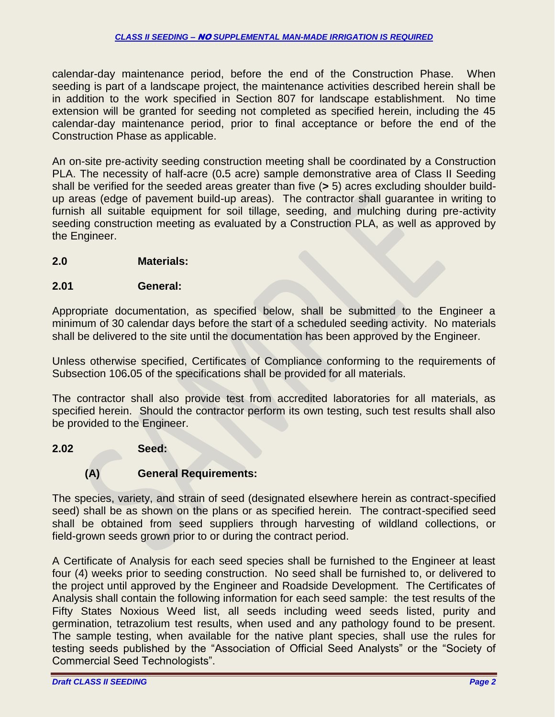calendar-day maintenance period, before the end of the Construction Phase. When seeding is part of a landscape project, the maintenance activities described herein shall be in addition to the work specified in Section 807 for landscape establishment. No time extension will be granted for seeding not completed as specified herein, including the 45 calendar-day maintenance period, prior to final acceptance or before the end of the Construction Phase as applicable.

An on-site pre-activity seeding construction meeting shall be coordinated by a Construction PLA. The necessity of half-acre (0**.**5 acre) sample demonstrative area of Class II Seeding shall be verified for the seeded areas greater than five (**>** 5) acres excluding shoulder buildup areas (edge of pavement build-up areas). The contractor shall guarantee in writing to furnish all suitable equipment for soil tillage, seeding, and mulching during pre-activity seeding construction meeting as evaluated by a Construction PLA, as well as approved by the Engineer.

#### **2.0 Materials:**

#### **2.01 General:**

Appropriate documentation, as specified below, shall be submitted to the Engineer a minimum of 30 calendar days before the start of a scheduled seeding activity. No materials shall be delivered to the site until the documentation has been approved by the Engineer.

Unless otherwise specified, Certificates of Compliance conforming to the requirements of Subsection 106**.**05 of the specifications shall be provided for all materials.

The contractor shall also provide test from accredited laboratories for all materials, as specified herein. Should the contractor perform its own testing, such test results shall also be provided to the Engineer.

#### **2.02 Seed:**

## **(A) General Requirements:**

The species, variety, and strain of seed (designated elsewhere herein as contract-specified seed) shall be as shown on the plans or as specified herein. The contract-specified seed shall be obtained from seed suppliers through harvesting of wildland collections, or field-grown seeds grown prior to or during the contract period.

A Certificate of Analysis for each seed species shall be furnished to the Engineer at least four (4) weeks prior to seeding construction. No seed shall be furnished to, or delivered to the project until approved by the Engineer and Roadside Development. The Certificates of Analysis shall contain the following information for each seed sample: the test results of the Fifty States Noxious Weed list, all seeds including weed seeds listed, purity and germination, tetrazolium test results, when used and any pathology found to be present. The sample testing, when available for the native plant species, shall use the rules for testing seeds published by the "Association of Official Seed Analysts" or the "Society of Commercial Seed Technologists".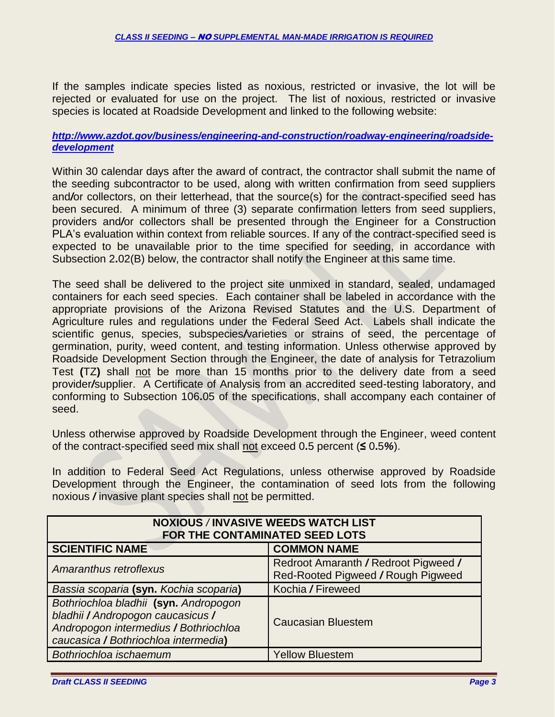If the samples indicate species listed as noxious, restricted or invasive, the lot will be rejected or evaluated for use on the project. The list of noxious, restricted or invasive species is located at Roadside Development and linked to the following website:

#### *[http://www.azdot.gov/business/engineering-and-construction/roadway-engineering/roadside](http://www.azdot.gov/business/engineering-and-construction/roadway-engineering/roadside-development)[development](http://www.azdot.gov/business/engineering-and-construction/roadway-engineering/roadside-development)*

Within 30 calendar days after the award of contract, the contractor shall submit the name of the seeding subcontractor to be used, along with written confirmation from seed suppliers and*/*or collectors, on their letterhead, that the source(s) for the contract-specified seed has been secured. A minimum of three (3) separate confirmation letters from seed suppliers, providers and*/*or collectors shall be presented through the Engineer for a Construction PLA's evaluation within context from reliable sources. If any of the contract-specified seed is expected to be unavailable prior to the time specified for seeding, in accordance with Subsection 2**.**02(B) below, the contractor shall notify the Engineer at this same time.

The seed shall be delivered to the project site unmixed in standard, sealed, undamaged containers for each seed species. Each container shall be labeled in accordance with the appropriate provisions of the Arizona Revised Statutes and the U.S. Department of Agriculture rules and regulations under the Federal Seed Act. Labels shall indicate the scientific genus, species, subspecies*/*varieties or strains of seed, the percentage of germination, purity, weed content, and testing information. Unless otherwise approved by Roadside Development Section through the Engineer, the date of analysis for Tetrazolium Test **(**TZ**)** shall not be more than 15 months prior to the delivery date from a seed provider*/*supplier. A Certificate of Analysis from an accredited seed-testing laboratory, and conforming to Subsection 106**.**05 of the specifications, shall accompany each container of seed.

Unless otherwise approved by Roadside Development through the Engineer, weed content of the contract-specified seed mix shall not exceed 0**.**5 percent (**≤** 0**.**5*%*).

In addition to Federal Seed Act Regulations, unless otherwise approved by Roadside Development through the Engineer, the contamination of seed lots from the following noxious */* invasive plant species shall not be permitted.

| <b>NOXIOUS / INVASIVE WEEDS WATCH LIST</b><br>FOR THE CONTAMINATED SEED LOTS                                                                                |                                                                            |  |  |
|-------------------------------------------------------------------------------------------------------------------------------------------------------------|----------------------------------------------------------------------------|--|--|
| <b>COMMON NAME</b><br><b>SCIENTIFIC NAME</b>                                                                                                                |                                                                            |  |  |
| Amaranthus retroflexus                                                                                                                                      | Redroot Amaranth / Redroot Pigweed /<br>Red-Rooted Pigweed / Rough Pigweed |  |  |
| Bassia scoparia (syn. Kochia scoparia)                                                                                                                      | Kochia / Fireweed                                                          |  |  |
| Bothriochloa bladhii (syn. Andropogon<br>bladhii / Andropogon caucasicus /<br>Andropogon intermedius / Bothriochloa<br>caucasica / Bothriochloa intermedia) | <b>Caucasian Bluestem</b>                                                  |  |  |
| Bothriochloa ischaemum                                                                                                                                      | <b>Yellow Bluestem</b>                                                     |  |  |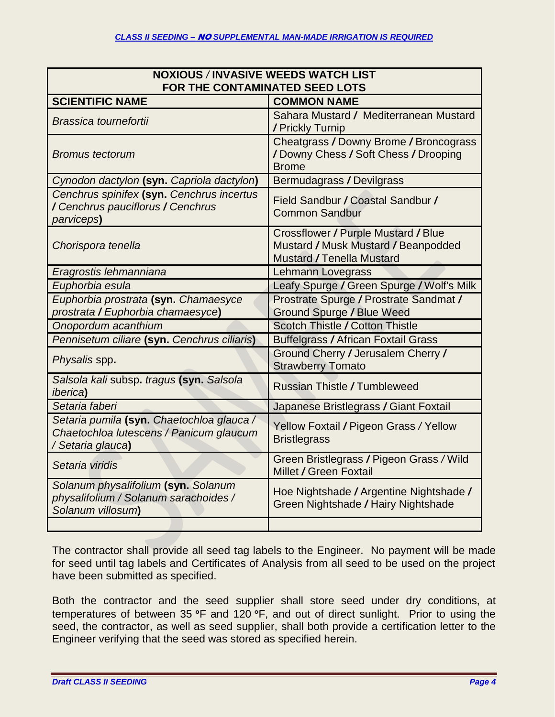| <b>NOXIOUS /INVASIVE WEEDS WATCH LIST</b>                                                                 |                                                                                                                |  |
|-----------------------------------------------------------------------------------------------------------|----------------------------------------------------------------------------------------------------------------|--|
| FOR THE CONTAMINATED SEED LOTS                                                                            |                                                                                                                |  |
| <b>SCIENTIFIC NAME</b>                                                                                    | <b>COMMON NAME</b>                                                                                             |  |
| Brassica tournefortii                                                                                     | Sahara Mustard / Mediterranean Mustard<br>/ Prickly Turnip                                                     |  |
| <b>Bromus tectorum</b>                                                                                    | Cheatgrass / Downy Brome / Broncograss<br>/Downy Chess / Soft Chess / Drooping<br><b>Brome</b>                 |  |
| Cynodon dactylon (syn. Capriola dactylon)                                                                 | <b>Bermudagrass / Devilgrass</b>                                                                               |  |
| Cenchrus spinifex (syn. Cenchrus incertus<br>/ Cenchrus pauciflorus / Cenchrus<br>parviceps <b>)</b>      | Field Sandbur / Coastal Sandbur /<br><b>Common Sandbur</b>                                                     |  |
| Chorispora tenella                                                                                        | Crossflower / Purple Mustard / Blue<br>Mustard / Musk Mustard / Beanpodded<br><b>Mustard / Tenella Mustard</b> |  |
| Eragrostis lehmanniana                                                                                    | <b>Lehmann Lovegrass</b>                                                                                       |  |
| Euphorbia esula                                                                                           | Leafy Spurge / Green Spurge / Wolf's Milk                                                                      |  |
| Euphorbia prostrata (syn. Chamaesyce<br>prostrata / Euphorbia chamaesyce)                                 | Prostrate Spurge / Prostrate Sandmat /<br><b>Ground Spurge / Blue Weed</b>                                     |  |
| Onopordum acanthium                                                                                       | <b>Scotch Thistle / Cotton Thistle</b>                                                                         |  |
| Pennisetum ciliare (syn. Cenchrus ciliaris)                                                               | <b>Buffelgrass / African Foxtail Grass</b>                                                                     |  |
| Physalis spp.                                                                                             | Ground Cherry / Jerusalem Cherry /<br><b>Strawberry Tomato</b>                                                 |  |
| Salsola kali subsp. tragus (syn. Salsola<br><i>iberica</i> )                                              | <b>Russian Thistle / Tumbleweed</b>                                                                            |  |
| Setaria faberi                                                                                            | Japanese Bristlegrass / Giant Foxtail                                                                          |  |
| Setaria pumila (syn. Chaetochloa glauca /<br>Chaetochloa lutescens / Panicum glaucum<br>/ Setaria glauca) | Yellow Foxtail / Pigeon Grass / Yellow<br><b>Bristlegrass</b>                                                  |  |
| Setaria viridis                                                                                           | Green Bristlegrass / Pigeon Grass / Wild<br>Millet / Green Foxtail                                             |  |
| Solanum physalifolium (syn. Solanum<br>physalifolium / Solanum sarachoides /<br>Solanum villosum)         | Hoe Nightshade / Argentine Nightshade /<br>Green Nightshade / Hairy Nightshade                                 |  |
|                                                                                                           |                                                                                                                |  |

The contractor shall provide all seed tag labels to the Engineer. No payment will be made for seed until tag labels and Certificates of Analysis from all seed to be used on the project have been submitted as specified.

Both the contractor and the seed supplier shall store seed under dry conditions, at temperatures of between 35 °F and 120 °F, and out of direct sunlight. Prior to using the seed, the contractor, as well as seed supplier, shall both provide a certification letter to the Engineer verifying that the seed was stored as specified herein.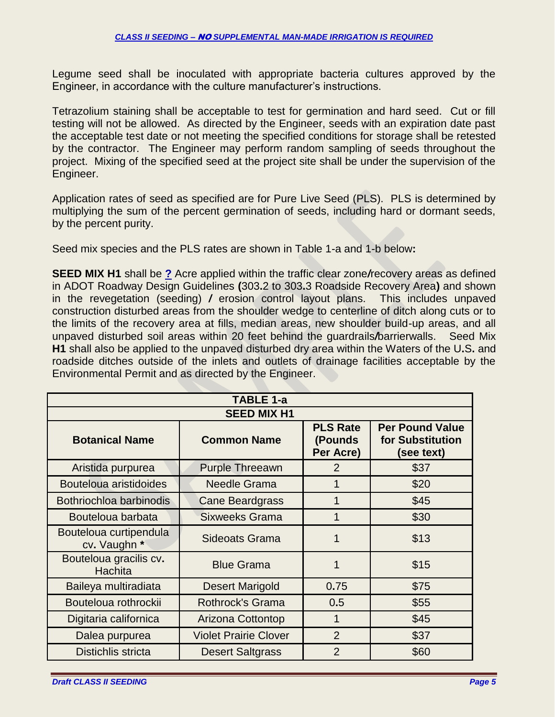Legume seed shall be inoculated with appropriate bacteria cultures approved by the Engineer, in accordance with the culture manufacturer's instructions.

Tetrazolium staining shall be acceptable to test for germination and hard seed. Cut or fill testing will not be allowed. As directed by the Engineer, seeds with an expiration date past the acceptable test date or not meeting the specified conditions for storage shall be retested by the contractor. The Engineer may perform random sampling of seeds throughout the project. Mixing of the specified seed at the project site shall be under the supervision of the Engineer.

Application rates of seed as specified are for Pure Live Seed (PLS). PLS is determined by multiplying the sum of the percent germination of seeds, including hard or dormant seeds, by the percent purity.

Seed mix species and the PLS rates are shown in Table 1-a and 1-b below**:**

**SEED MIX H1** shall be **?** Acre applied within the traffic clear zone*/*recovery areas as defined in ADOT Roadway Design Guidelines **(**303**.**2 to 303**.**3 Roadside Recovery Area**)** and shown in the revegetation (seeding) */* erosion control layout plans. This includes unpaved construction disturbed areas from the shoulder wedge to centerline of ditch along cuts or to the limits of the recovery area at fills, median areas, new shoulder build-up areas, and all unpaved disturbed soil areas within 20 feet behind the guardrails*/*barrierwalls. Seed Mix **H1** shall also be applied to the unpaved disturbed dry area within the Waters of the U**.**S**.** and roadside ditches outside of the inlets and outlets of drainage facilities acceptable by the Environmental Permit and as directed by the Engineer.

| TABLE 1-a                              |                              |                                          |                                                          |
|----------------------------------------|------------------------------|------------------------------------------|----------------------------------------------------------|
| <b>SEED MIX H1</b>                     |                              |                                          |                                                          |
| <b>Botanical Name</b>                  | <b>Common Name</b>           | <b>PLS Rate</b><br>(Pounds)<br>Per Acre) | <b>Per Pound Value</b><br>for Substitution<br>(see text) |
| Aristida purpurea                      | <b>Purple Threeawn</b>       | 2                                        | \$37                                                     |
| Bouteloua aristidoides                 | <b>Needle Grama</b>          | 1                                        | \$20                                                     |
| Bothriochloa barbinodis                | <b>Cane Beardgrass</b>       | 1                                        | \$45                                                     |
| Bouteloua barbata                      | <b>Sixweeks Grama</b>        | 1                                        | \$30                                                     |
| Bouteloua curtipendula<br>cv. Vaughn * | <b>Sideoats Grama</b>        | 1                                        | \$13                                                     |
| Bouteloua gracilis cv.<br>Hachita      | <b>Blue Grama</b>            | 1                                        | \$15                                                     |
| Baileya multiradiata                   | <b>Desert Marigold</b>       | 0.75                                     | \$75                                                     |
| Bouteloua rothrockii                   | <b>Rothrock's Grama</b>      | 0.5                                      | \$55                                                     |
| Digitaria californica                  | <b>Arizona Cottontop</b>     | 1                                        | \$45                                                     |
| Dalea purpurea                         | <b>Violet Prairie Clover</b> | $\overline{2}$                           | \$37                                                     |
| Distichlis stricta                     | <b>Desert Saltgrass</b>      | $\overline{2}$                           | \$60                                                     |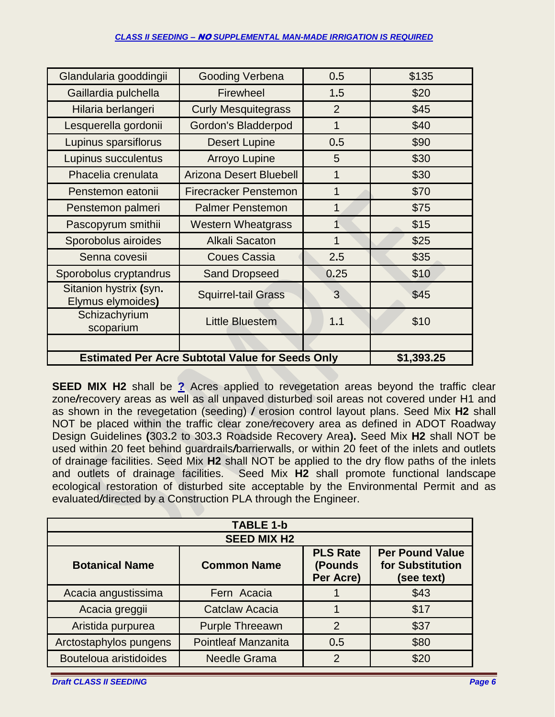#### *CLASS II SEEDING –* NO *SUPPLEMENTAL MAN-MADE IRRIGATION IS REQUIRED*

| Glandularia gooddingii                                  | Gooding Verbena                | 0.5            | \$135      |
|---------------------------------------------------------|--------------------------------|----------------|------------|
| Gaillardia pulchella                                    | Firewheel                      | 1.5            | \$20       |
| Hilaria berlangeri                                      | <b>Curly Mesquitegrass</b>     | $\overline{2}$ | \$45       |
| Lesquerella gordonii                                    | Gordon's Bladderpod            | 1              | \$40       |
| Lupinus sparsiflorus                                    | <b>Desert Lupine</b>           | 0.5            | \$90       |
| Lupinus succulentus                                     | <b>Arroyo Lupine</b>           | 5              | \$30       |
| Phacelia crenulata                                      | <b>Arizona Desert Bluebell</b> | 1              | \$30       |
| Penstemon eatonii                                       | <b>Firecracker Penstemon</b>   | 1              | \$70       |
| Penstemon palmeri                                       | <b>Palmer Penstemon</b>        | 1              | \$75       |
| Pascopyrum smithii                                      | <b>Western Wheatgrass</b>      | 1              | \$15       |
| Sporobolus airoides                                     | <b>Alkali Sacaton</b>          | 1              | \$25       |
| Senna covesii                                           | <b>Coues Cassia</b>            | 2.5            | \$35       |
| Sporobolus cryptandrus                                  | <b>Sand Dropseed</b>           | 0.25           | \$10       |
| Sitanion hystrix (syn.<br>Elymus elymoides)             | <b>Squirrel-tail Grass</b>     | 3              | \$45       |
| Schizachyrium<br>scoparium                              | <b>Little Bluestem</b>         | 1.1            | \$10       |
|                                                         |                                |                |            |
| <b>Estimated Per Acre Subtotal Value for Seeds Only</b> |                                |                | \$1,393.25 |

**SEED MIX H2** shall be ? Acres applied to revegetation areas beyond the traffic clear zone*/*recovery areas as well as all unpaved disturbed soil areas not covered under H1 and as shown in the revegetation (seeding) */* erosion control layout plans. Seed Mix **H2** shall NOT be placed within the traffic clear zone*/*recovery area as defined in ADOT Roadway Design Guidelines **(**303**.**2 to 303**.**3 Roadside Recovery Area**).** Seed Mix **H2** shall NOT be used within 20 feet behind guardrails*/*barrierwalls, or within 20 feet of the inlets and outlets of drainage facilities. Seed Mix **H2** shall NOT be applied to the dry flow paths of the inlets and outlets of drainage facilities. Seed Mix **H2** shall promote functional landscape ecological restoration of disturbed site acceptable by the Environmental Permit and as evaluated*/*directed by a Construction PLA through the Engineer.

| <b>TABLE 1-b</b>       |                            |                                         |                                                          |
|------------------------|----------------------------|-----------------------------------------|----------------------------------------------------------|
| <b>SEED MIX H2</b>     |                            |                                         |                                                          |
| <b>Botanical Name</b>  | <b>Common Name</b>         | <b>PLS Rate</b><br>(Pounds<br>Per Acre) | <b>Per Pound Value</b><br>for Substitution<br>(see text) |
| Acacia angustissima    | Fern Acacia                |                                         | \$43                                                     |
| Acacia greggii         | <b>Catclaw Acacia</b>      |                                         | \$17                                                     |
| Aristida purpurea      | <b>Purple Threeawn</b>     | $\overline{2}$                          | \$37                                                     |
| Arctostaphylos pungens | <b>Pointleaf Manzanita</b> | 0.5                                     | \$80                                                     |
| Bouteloua aristidoides | <b>Needle Grama</b>        | $\mathcal{P}$                           | \$20                                                     |

*Draft CLASS II SEEDING Page 6*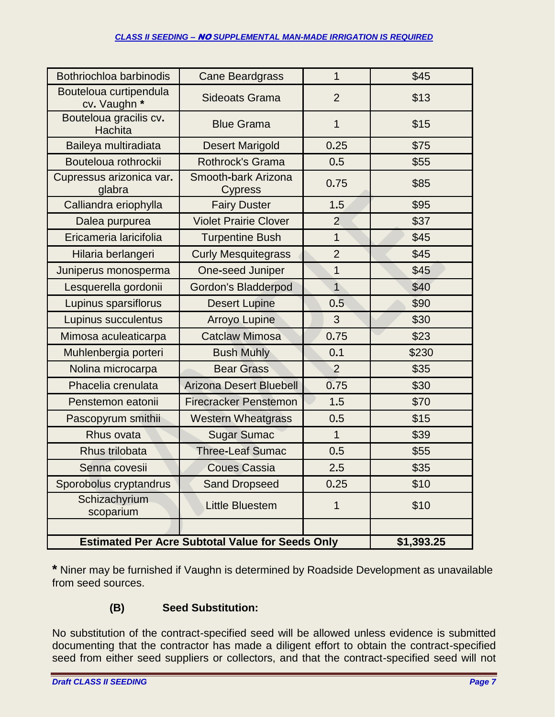#### *CLASS II SEEDING –* NO *SUPPLEMENTAL MAN-MADE IRRIGATION IS REQUIRED*

| Bothriochloa barbinodis                                               | <b>Cane Beardgrass</b>                | $\mathbf 1$    | \$45  |
|-----------------------------------------------------------------------|---------------------------------------|----------------|-------|
| Bouteloua curtipendula<br>cv. Vaughn *                                | <b>Sideoats Grama</b>                 | $\overline{2}$ | \$13  |
| Bouteloua gracilis cv.<br>Hachita                                     | <b>Blue Grama</b>                     | $\mathbf{1}$   | \$15  |
| Baileya multiradiata                                                  | <b>Desert Marigold</b>                | 0.25           | \$75  |
| Bouteloua rothrockii                                                  | Rothrock's Grama                      | 0.5            | \$55  |
| Cupressus arizonica var.<br>glabra                                    | Smooth-bark Arizona<br><b>Cypress</b> | 0.75           | \$85  |
| Calliandra eriophylla                                                 | <b>Fairy Duster</b>                   | 1.5            | \$95  |
| Dalea purpurea                                                        | <b>Violet Prairie Clover</b>          | $\overline{2}$ | \$37  |
| Ericameria laricifolia                                                | <b>Turpentine Bush</b>                | 1              | \$45  |
| Hilaria berlangeri                                                    | <b>Curly Mesquitegrass</b>            | $\overline{2}$ | \$45  |
| Juniperus monosperma                                                  | One-seed Juniper                      | 1              | \$45  |
| Lesquerella gordonii                                                  | <b>Gordon's Bladderpod</b>            | $\overline{1}$ | \$40  |
| Lupinus sparsiflorus                                                  | <b>Desert Lupine</b>                  | 0.5            | \$90  |
| Lupinus succulentus                                                   | <b>Arroyo Lupine</b>                  | 3              | \$30  |
| Mimosa aculeaticarpa                                                  | <b>Catclaw Mimosa</b>                 | 0.75           | \$23  |
| Muhlenbergia porteri                                                  | <b>Bush Muhly</b>                     | 0.1            | \$230 |
| Nolina microcarpa                                                     | <b>Bear Grass</b>                     | $\overline{2}$ | \$35  |
| Phacelia crenulata                                                    | <b>Arizona Desert Bluebell</b>        | 0.75           | \$30  |
| Penstemon eatonii                                                     | <b>Firecracker Penstemon</b>          | 1.5            | \$70  |
| Pascopyrum smithii                                                    | <b>Western Wheatgrass</b>             | 0.5            | \$15  |
| Rhus ovata                                                            | <b>Sugar Sumac</b>                    | $\mathbf{1}$   | \$39  |
| Rhus trilobata                                                        | <b>Three-Leaf Sumac</b>               | 0.5            | \$55  |
| Senna covesii                                                         | <b>Coues Cassia</b>                   | 2.5            | \$35  |
| Sporobolus cryptandrus                                                | <b>Sand Dropseed</b>                  | 0.25           | \$10  |
| Schizachyrium<br>scoparium                                            | <b>Little Bluestem</b>                | 1              | \$10  |
|                                                                       |                                       |                |       |
| <b>Estimated Per Acre Subtotal Value for Seeds Only</b><br>\$1,393.25 |                                       |                |       |

**\*** Niner may be furnished if Vaughn is determined by Roadside Development as unavailable from seed sources.

# **(B) Seed Substitution:**

No substitution of the contract-specified seed will be allowed unless evidence is submitted documenting that the contractor has made a diligent effort to obtain the contract-specified seed from either seed suppliers or collectors, and that the contract-specified seed will not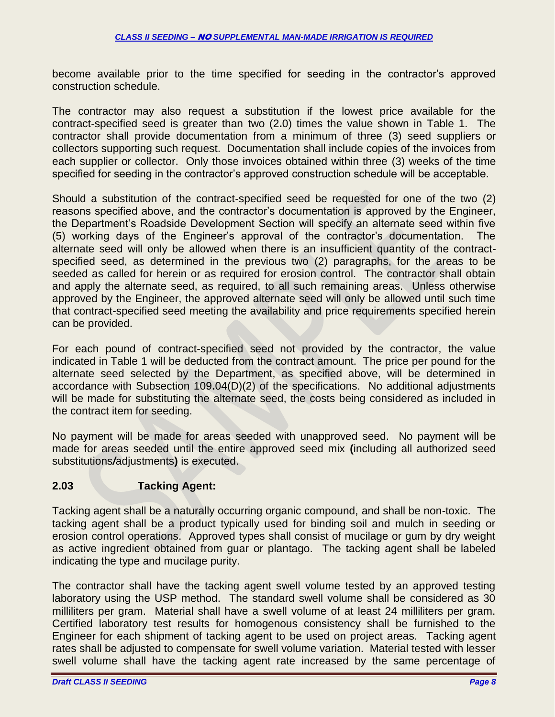become available prior to the time specified for seeding in the contractor's approved construction schedule.

The contractor may also request a substitution if the lowest price available for the contract-specified seed is greater than two (2**.**0) times the value shown in Table 1. The contractor shall provide documentation from a minimum of three (3) seed suppliers or collectors supporting such request. Documentation shall include copies of the invoices from each supplier or collector. Only those invoices obtained within three (3) weeks of the time specified for seeding in the contractor's approved construction schedule will be acceptable.

Should a substitution of the contract-specified seed be requested for one of the two (2) reasons specified above, and the contractor's documentation is approved by the Engineer, the Department's Roadside Development Section will specify an alternate seed within five (5) working days of the Engineer's approval of the contractor's documentation. The alternate seed will only be allowed when there is an insufficient quantity of the contractspecified seed, as determined in the previous two (2) paragraphs, for the areas to be seeded as called for herein or as required for erosion control. The contractor shall obtain and apply the alternate seed, as required, to all such remaining areas. Unless otherwise approved by the Engineer, the approved alternate seed will only be allowed until such time that contract-specified seed meeting the availability and price requirements specified herein can be provided.

For each pound of contract-specified seed not provided by the contractor, the value indicated in Table 1 will be deducted from the contract amount. The price per pound for the alternate seed selected by the Department, as specified above, will be determined in accordance with Subsection 109**.**04(D)(2) of the specifications. No additional adjustments will be made for substituting the alternate seed, the costs being considered as included in the contract item for seeding.

No payment will be made for areas seeded with unapproved seed. No payment will be made for areas seeded until the entire approved seed mix **(**including all authorized seed substitutions*/*adjustments**)** is executed.

# **2.03 Tacking Agent:**

Tacking agent shall be a naturally occurring organic compound, and shall be non-toxic. The tacking agent shall be a product typically used for binding soil and mulch in seeding or erosion control operations. Approved types shall consist of mucilage or gum by dry weight as active ingredient obtained from guar or plantago. The tacking agent shall be labeled indicating the type and mucilage purity.

The contractor shall have the tacking agent swell volume tested by an approved testing laboratory using the USP method. The standard swell volume shall be considered as 30 milliliters per gram. Material shall have a swell volume of at least 24 milliliters per gram. Certified laboratory test results for homogenous consistency shall be furnished to the Engineer for each shipment of tacking agent to be used on project areas. Tacking agent rates shall be adjusted to compensate for swell volume variation. Material tested with lesser swell volume shall have the tacking agent rate increased by the same percentage of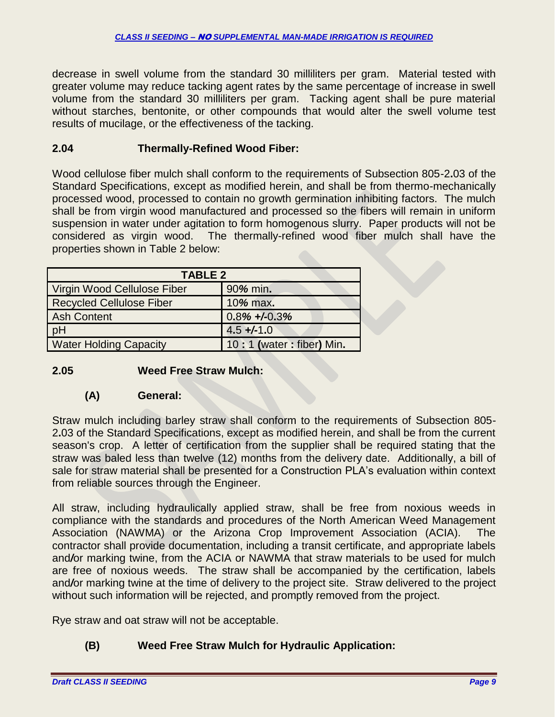decrease in swell volume from the standard 30 milliliters per gram. Material tested with greater volume may reduce tacking agent rates by the same percentage of increase in swell volume from the standard 30 milliliters per gram. Tacking agent shall be pure material without starches, bentonite, or other compounds that would alter the swell volume test results of mucilage, or the effectiveness of the tacking.

## **2.04 Thermally-Refined Wood Fiber:**

Wood cellulose fiber mulch shall conform to the requirements of Subsection 805-2**.**03 of the Standard Specifications, except as modified herein, and shall be from thermo-mechanically processed wood, processed to contain no growth germination inhibiting factors. The mulch shall be from virgin wood manufactured and processed so the fibers will remain in uniform suspension in water under agitation to form homogenous slurry. Paper products will not be considered as virgin wood. The thermally-refined wood fiber mulch shall have the properties shown in Table 2 below:

| <b>TABLE 2</b>                  |                           |  |
|---------------------------------|---------------------------|--|
| Virgin Wood Cellulose Fiber     | 90% min.                  |  |
| <b>Recycled Cellulose Fiber</b> | 10% max.                  |  |
| <b>Ash Content</b>              | $0.8\% + 0.3\%$           |  |
| pH                              | $4.5 + (-1.0)$            |  |
| <b>Water Holding Capacity</b>   | 10: 1 (water: fiber) Min. |  |

## **2.05 Weed Free Straw Mulch:**

## **(A) General:**

Straw mulch including barley straw shall conform to the requirements of Subsection 805- 2**.**03 of the Standard Specifications, except as modified herein, and shall be from the current season's crop. A letter of certification from the supplier shall be required stating that the straw was baled less than twelve (12) months from the delivery date. Additionally, a bill of sale for straw material shall be presented for a Construction PLA's evaluation within context from reliable sources through the Engineer.

All straw, including hydraulically applied straw, shall be free from noxious weeds in compliance with the standards and procedures of the North American Weed Management Association (NAWMA) or the Arizona Crop Improvement Association (ACIA). contractor shall provide documentation, including a transit certificate, and appropriate labels and*/*or marking twine, from the ACIA or NAWMA that straw materials to be used for mulch are free of noxious weeds. The straw shall be accompanied by the certification, labels and*/*or marking twine at the time of delivery to the project site. Straw delivered to the project without such information will be rejected, and promptly removed from the project.

Rye straw and oat straw will not be acceptable.

# **(B) Weed Free Straw Mulch for Hydraulic Application:**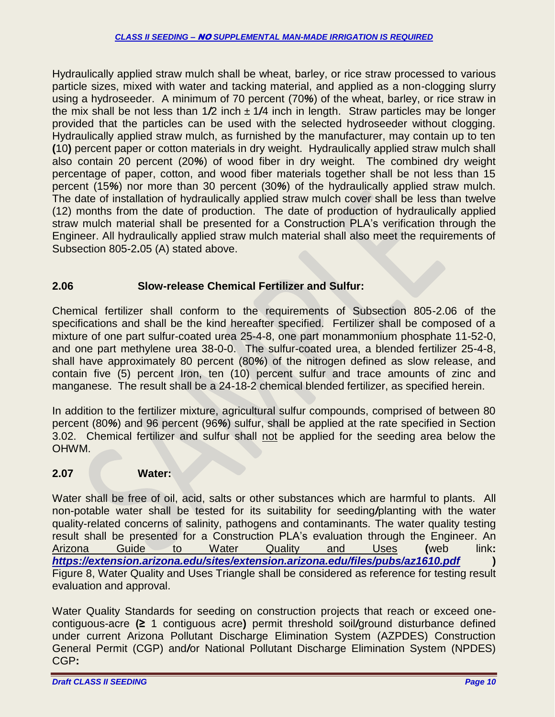Hydraulically applied straw mulch shall be wheat, barley, or rice straw processed to various particle sizes, mixed with water and tacking material, and applied as a non-clogging slurry using a hydroseeder. A minimum of 70 percent (70*%*) of the wheat, barley, or rice straw in the mix shall be not less than 1*/*2 inch ± 1*/*4 inch in length. Straw particles may be longer provided that the particles can be used with the selected hydroseeder without clogging. Hydraulically applied straw mulch, as furnished by the manufacturer, may contain up to ten **(**10**)** percent paper or cotton materials in dry weight. Hydraulically applied straw mulch shall also contain 20 percent (20*%*) of wood fiber in dry weight. The combined dry weight percentage of paper, cotton, and wood fiber materials together shall be not less than 15 percent (15*%*) nor more than 30 percent (30*%*) of the hydraulically applied straw mulch. The date of installation of hydraulically applied straw mulch cover shall be less than twelve (12) months from the date of production. The date of production of hydraulically applied straw mulch material shall be presented for a Construction PLA's verification through the Engineer. All hydraulically applied straw mulch material shall also meet the requirements of Subsection 805-2**.**05 (A) stated above.

# **2.06 Slow-release Chemical Fertilizer and Sulfur:**

Chemical fertilizer shall conform to the requirements of Subsection 805-2.06 of the specifications and shall be the kind hereafter specified. Fertilizer shall be composed of a mixture of one part sulfur-coated urea 25-4-8, one part monammonium phosphate 11-52-0, and one part methylene urea 38-0-0. The sulfur-coated urea, a blended fertilizer 25-4-8, shall have approximately 80 percent (80*%*) of the nitrogen defined as slow release, and contain five (5) percent Iron, ten (10) percent sulfur and trace amounts of zinc and manganese. The result shall be a 24-18-2 chemical blended fertilizer, as specified herein.

In addition to the fertilizer mixture, agricultural sulfur compounds, comprised of between 80 percent (80*%*) and 96 percent (96*%*) sulfur, shall be applied at the rate specified in Section 3.02. Chemical fertilizer and sulfur shall not be applied for the seeding area below the OHWM.

# **2.07 Water:**

Water shall be free of oil, acid, salts or other substances which are harmful to plants. All non-potable water shall be tested for its suitability for seeding*/*planting with the water quality-related concerns of salinity, pathogens and contaminants. The water quality testing result shall be presented for a Construction PLA's evaluation through the Engineer. An Arizona Guide to Water Quality and Uses **(**web link**:** *<https://extension.arizona.edu/sites/extension.arizona.edu/files/pubs/az1610.pdf>* **)** Figure 8, Water Quality and Uses Triangle shall be considered as reference for testing result evaluation and approval.

Water Quality Standards for seeding on construction projects that reach or exceed onecontiguous-acre **(≥** 1 contiguous acre**)** permit threshold soil*/*ground disturbance defined under current Arizona Pollutant Discharge Elimination System (AZPDES) Construction General Permit (CGP) and*/*or National Pollutant Discharge Elimination System (NPDES) CGP**:**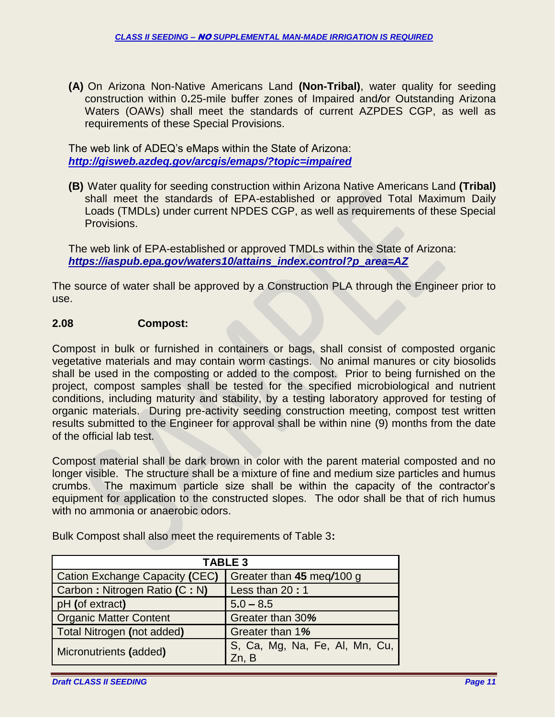**(A)** On Arizona Non-Native Americans Land **(Non-Tribal)**, water quality for seeding construction within 0**.**25-mile buffer zones of Impaired and*/*or Outstanding Arizona Waters (OAWs) shall meet the standards of current AZPDES CGP, as well as requirements of these Special Provisions.

The web link of ADEQ's eMaps within the State of Arizona: *<http://gisweb.azdeq.gov/arcgis/emaps/?topic=impaired>*

**(B)** Water quality for seeding construction within Arizona Native Americans Land **(Tribal)** shall meet the standards of EPA-established or approved Total Maximum Daily Loads (TMDLs) under current NPDES CGP, as well as requirements of these Special Provisions.

The web link of EPA-established or approved TMDLs within the State of Arizona: *[https://iaspub.epa.gov/waters10/attains\\_index.control?p\\_area=AZ](https://iaspub.epa.gov/waters10/attains_index.control?p_area=AZ)*

The source of water shall be approved by a Construction PLA through the Engineer prior to use.

### **2.08 Compost:**

Compost in bulk or furnished in containers or bags, shall consist of composted organic vegetative materials and may contain worm castings. No animal manures or city biosolids shall be used in the composting or added to the compost. Prior to being furnished on the project, compost samples shall be tested for the specified microbiological and nutrient conditions, including maturity and stability, by a testing laboratory approved for testing of organic materials. During pre-activity seeding construction meeting, compost test written results submitted to the Engineer for approval shall be within nine (9) months from the date of the official lab test.

Compost material shall be dark brown in color with the parent material composted and no longer visible. The structure shall be a mixture of fine and medium size particles and humus crumbs. The maximum particle size shall be within the capacity of the contractor's equipment for application to the constructed slopes. The odor shall be that of rich humus with no ammonia or anaerobic odors.

| <b>TABLE 3</b>                 |                                         |  |  |
|--------------------------------|-----------------------------------------|--|--|
| Cation Exchange Capacity (CEC) | Greater than 45 meg/100 g               |  |  |
| Carbon: Nitrogen Ratio (C: N)  | Less than 20:1                          |  |  |
| pH (of extract)                | $5.0 - 8.5$                             |  |  |
| <b>Organic Matter Content</b>  | Greater than 30%                        |  |  |
| Total Nitrogen (not added)     | Greater than 1%                         |  |  |
| Micronutrients (added)         | S, Ca, Mg, Na, Fe, Al, Mn, Cu,<br>Zn. B |  |  |

Bulk Compost shall also meet the requirements of Table 3**:**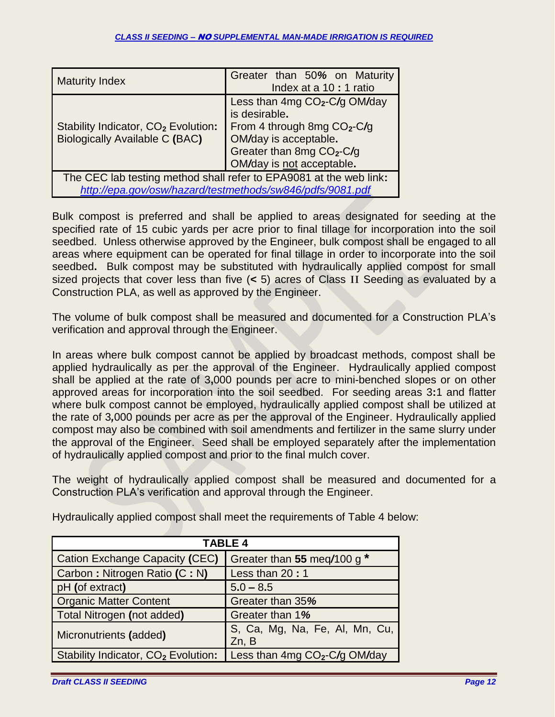| <b>Maturity Index</b>                                                                    | Greater than 50% on Maturity<br>Index at a 10 : 1 ratio                                                                                                                      |  |
|------------------------------------------------------------------------------------------|------------------------------------------------------------------------------------------------------------------------------------------------------------------------------|--|
| Stability Indicator, CO <sub>2</sub> Evolution:<br><b>Biologically Available C (BAC)</b> | Less than $4mgCO2-C/gOM/day$<br>is desirable.<br>From 4 through 8mg $CO2-C/g$<br>OM/day is acceptable.<br>Greater than 8mg CO <sub>2</sub> -C/g<br>OM/day is not acceptable. |  |
| The CEC lab testing method shall refer to EPA9081 at the web link:                       |                                                                                                                                                                              |  |
| http://epa.gov/osw/hazard/testmethods/sw846/pdfs/9081.pdf                                |                                                                                                                                                                              |  |

Bulk compost is preferred and shall be applied to areas designated for seeding at the specified rate of 15 cubic yards per acre prior to final tillage for incorporation into the soil seedbed. Unless otherwise approved by the Engineer, bulk compost shall be engaged to all areas where equipment can be operated for final tillage in order to incorporate into the soil seedbed**.** Bulk compost may be substituted with hydraulically applied compost for small sized projects that cover less than five (**<** 5) acres of Class II Seeding as evaluated by a Construction PLA, as well as approved by the Engineer.

The volume of bulk compost shall be measured and documented for a Construction PLA's verification and approval through the Engineer.

In areas where bulk compost cannot be applied by broadcast methods, compost shall be applied hydraulically as per the approval of the Engineer. Hydraulically applied compost shall be applied at the rate of 3**,**000 pounds per acre to mini-benched slopes or on other approved areas for incorporation into the soil seedbed. For seeding areas 3**:**1 and flatter where bulk compost cannot be employed, hydraulically applied compost shall be utilized at the rate of 3*,*000 pounds per acre as per the approval of the Engineer. Hydraulically applied compost may also be combined with soil amendments and fertilizer in the same slurry under the approval of the Engineer. Seed shall be employed separately after the implementation of hydraulically applied compost and prior to the final mulch cover.

The weight of hydraulically applied compost shall be measured and documented for a Construction PLA's verification and approval through the Engineer.

| <b>TABLE 4</b>                                  |                                           |  |  |
|-------------------------------------------------|-------------------------------------------|--|--|
| <b>Cation Exchange Capacity (CEC)</b>           | Greater than 55 meg/100 g *               |  |  |
| Carbon: Nitrogen Ratio (C: N)                   | Less than 20:1                            |  |  |
| pH (of extract)                                 | $5.0 - 8.5$                               |  |  |
| <b>Organic Matter Content</b>                   | Greater than 35%                          |  |  |
| Total Nitrogen (not added)                      | Greater than 1%                           |  |  |
| Micronutrients (added)                          | S, Ca, Mg, Na, Fe, Al, Mn, Cu,<br>Zn, B   |  |  |
| Stability Indicator, CO <sub>2</sub> Evolution: | Less than 4mg CO <sub>2</sub> -C/g OM/day |  |  |

Hydraulically applied compost shall meet the requirements of Table 4 below: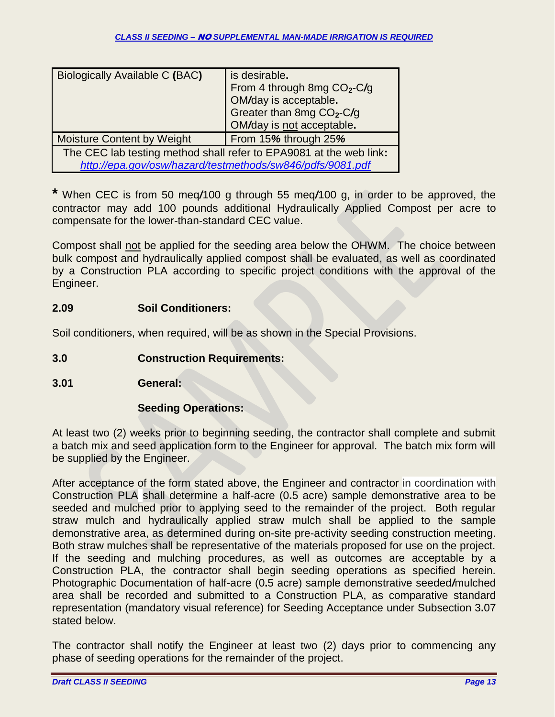| Biologically Available C (BAC)                                                                                                  | is desirable.<br>From 4 through 8mg $CO2-C/g$<br>OM/day is acceptable.<br>Greater than 8mg CO <sub>2</sub> -C/g<br>OM/day is not acceptable. |  |
|---------------------------------------------------------------------------------------------------------------------------------|----------------------------------------------------------------------------------------------------------------------------------------------|--|
| <b>Moisture Content by Weight</b>                                                                                               | From 15% through 25%                                                                                                                         |  |
| The CEC lab testing method shall refer to EPA9081 at the web link:<br>http://epa.gov/osw/hazard/testmethods/sw846/pdfs/9081.pdf |                                                                                                                                              |  |

**\*** When CEC is from 50 meq*/*100 g through 55 meq*/*100 g, in order to be approved, the contractor may add 100 pounds additional Hydraulically Applied Compost per acre to compensate for the lower-than-standard CEC value.

Compost shall not be applied for the seeding area below the OHWM. The choice between bulk compost and hydraulically applied compost shall be evaluated, as well as coordinated by a Construction PLA according to specific project conditions with the approval of the Engineer.

## **2.09 Soil Conditioners:**

Soil conditioners, when required, will be as shown in the Special Provisions.

- **3.0 Construction Requirements:**
- **3.01 General:**

## **Seeding Operations:**

At least two (2) weeks prior to beginning seeding, the contractor shall complete and submit a batch mix and seed application form to the Engineer for approval. The batch mix form will be supplied by the Engineer.

After acceptance of the form stated above, the Engineer and contractor in coordination with Construction PLA shall determine a half-acre (0**.**5 acre) sample demonstrative area to be seeded and mulched prior to applying seed to the remainder of the project. Both regular straw mulch and hydraulically applied straw mulch shall be applied to the sample demonstrative area, as determined during on-site pre-activity seeding construction meeting. Both straw mulches shall be representative of the materials proposed for use on the project. If the seeding and mulching procedures, as well as outcomes are acceptable by a Construction PLA, the contractor shall begin seeding operations as specified herein. Photographic Documentation of half-acre (0**.**5 acre) sample demonstrative seeded*/*mulched area shall be recorded and submitted to a Construction PLA, as comparative standard representation (mandatory visual reference) for Seeding Acceptance under Subsection 3**.**07 stated below.

The contractor shall notify the Engineer at least two (2) days prior to commencing any phase of seeding operations for the remainder of the project.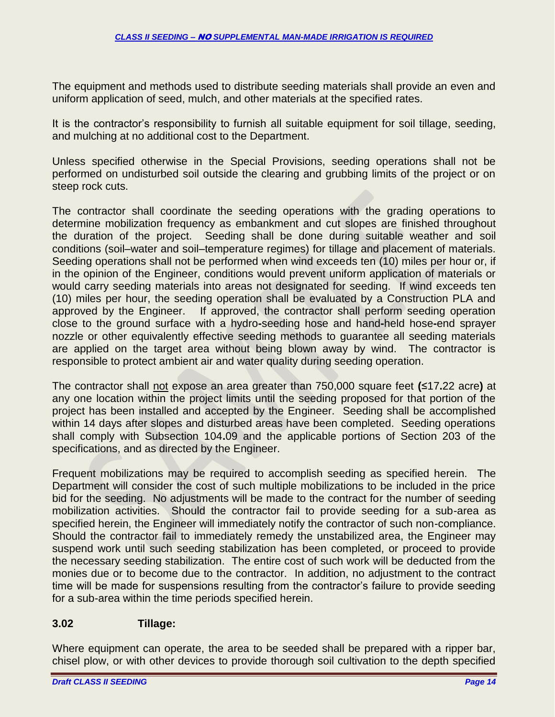The equipment and methods used to distribute seeding materials shall provide an even and uniform application of seed, mulch, and other materials at the specified rates.

It is the contractor's responsibility to furnish all suitable equipment for soil tillage, seeding, and mulching at no additional cost to the Department.

Unless specified otherwise in the Special Provisions, seeding operations shall not be performed on undisturbed soil outside the clearing and grubbing limits of the project or on steep rock cuts.

The contractor shall coordinate the seeding operations with the grading operations to determine mobilization frequency as embankment and cut slopes are finished throughout the duration of the project. Seeding shall be done during suitable weather and soil conditions (soil–water and soil–temperature regimes) for tillage and placement of materials. Seeding operations shall not be performed when wind exceeds ten (10) miles per hour or, if in the opinion of the Engineer, conditions would prevent uniform application of materials or would carry seeding materials into areas not designated for seeding. If wind exceeds ten (10) miles per hour, the seeding operation shall be evaluated by a Construction PLA and approved by the Engineer. If approved, the contractor shall perform seeding operation close to the ground surface with a hydro**-**seeding hose and hand**-**held hose**-**end sprayer nozzle or other equivalently effective seeding methods to guarantee all seeding materials are applied on the target area without being blown away by wind. The contractor is responsible to protect ambient air and water quality during seeding operation.

The contractor shall not expose an area greater than 750,000 square feet **(**≤17**.**22 acre**)** at any one location within the project limits until the seeding proposed for that portion of the project has been installed and accepted by the Engineer. Seeding shall be accomplished within 14 days after slopes and disturbed areas have been completed. Seeding operations shall comply with Subsection 104**.**09 and the applicable portions of Section 203 of the specifications, and as directed by the Engineer.

Frequent mobilizations may be required to accomplish seeding as specified herein. The Department will consider the cost of such multiple mobilizations to be included in the price bid for the seeding. No adjustments will be made to the contract for the number of seeding mobilization activities. Should the contractor fail to provide seeding for a sub-area as specified herein, the Engineer will immediately notify the contractor of such non-compliance. Should the contractor fail to immediately remedy the unstabilized area, the Engineer may suspend work until such seeding stabilization has been completed, or proceed to provide the necessary seeding stabilization. The entire cost of such work will be deducted from the monies due or to become due to the contractor. In addition, no adjustment to the contract time will be made for suspensions resulting from the contractor's failure to provide seeding for a sub-area within the time periods specified herein.

## **3.02 Tillage:**

Where equipment can operate, the area to be seeded shall be prepared with a ripper bar, chisel plow, or with other devices to provide thorough soil cultivation to the depth specified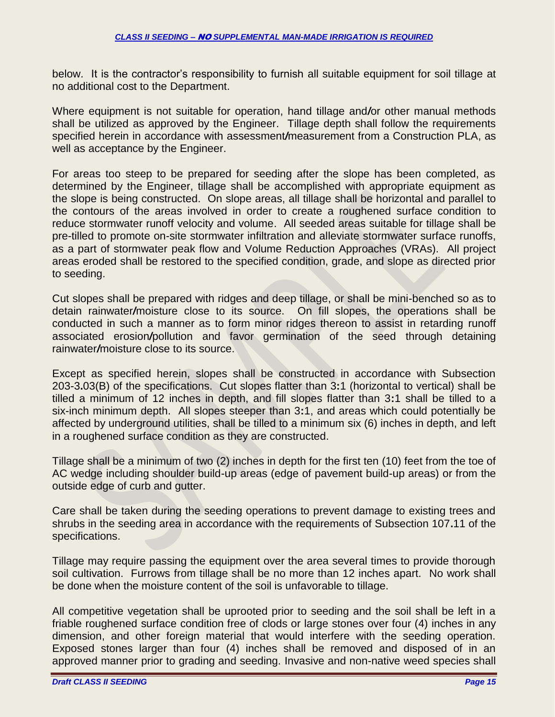below. It is the contractor's responsibility to furnish all suitable equipment for soil tillage at no additional cost to the Department.

Where equipment is not suitable for operation, hand tillage and*/*or other manual methods shall be utilized as approved by the Engineer. Tillage depth shall follow the requirements specified herein in accordance with assessment*/*measurement from a Construction PLA, as well as acceptance by the Engineer.

For areas too steep to be prepared for seeding after the slope has been completed, as determined by the Engineer, tillage shall be accomplished with appropriate equipment as the slope is being constructed. On slope areas, all tillage shall be horizontal and parallel to the contours of the areas involved in order to create a roughened surface condition to reduce stormwater runoff velocity and volume. All seeded areas suitable for tillage shall be pre-tilled to promote on-site stormwater infiltration and alleviate stormwater surface runoffs, as a part of stormwater peak flow and Volume Reduction Approaches (VRAs). All project areas eroded shall be restored to the specified condition, grade, and slope as directed prior to seeding.

Cut slopes shall be prepared with ridges and deep tillage, or shall be mini-benched so as to detain rainwater*/*moisture close to its source. On fill slopes, the operations shall be conducted in such a manner as to form minor ridges thereon to assist in retarding runoff associated erosion*/*pollution and favor germination of the seed through detaining rainwater*/*moisture close to its source.

Except as specified herein, slopes shall be constructed in accordance with Subsection 203-3**.**03(B) of the specifications. Cut slopes flatter than 3**:**1 (horizontal to vertical) shall be tilled a minimum of 12 inches in depth, and fill slopes flatter than 3**:**1 shall be tilled to a six-inch minimum depth. All slopes steeper than 3**:**1, and areas which could potentially be affected by underground utilities, shall be tilled to a minimum six (6) inches in depth, and left in a roughened surface condition as they are constructed.

Tillage shall be a minimum of two (2) inches in depth for the first ten (10) feet from the toe of AC wedge including shoulder build-up areas (edge of pavement build-up areas) or from the outside edge of curb and gutter.

Care shall be taken during the seeding operations to prevent damage to existing trees and shrubs in the seeding area in accordance with the requirements of Subsection 107**.**11 of the specifications.

Tillage may require passing the equipment over the area several times to provide thorough soil cultivation. Furrows from tillage shall be no more than 12 inches apart. No work shall be done when the moisture content of the soil is unfavorable to tillage.

All competitive vegetation shall be uprooted prior to seeding and the soil shall be left in a friable roughened surface condition free of clods or large stones over four (4) inches in any dimension, and other foreign material that would interfere with the seeding operation. Exposed stones larger than four (4) inches shall be removed and disposed of in an approved manner prior to grading and seeding. Invasive and non-native weed species shall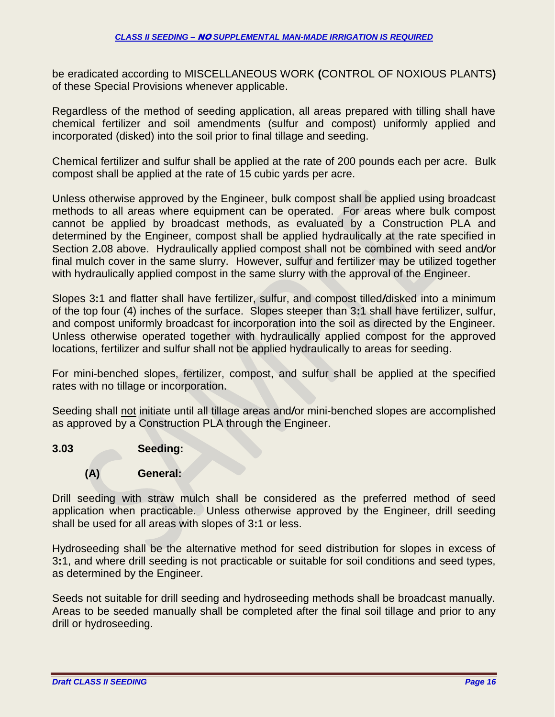be eradicated according to MISCELLANEOUS WORK **(**CONTROL OF NOXIOUS PLANTS**)** of these Special Provisions whenever applicable.

Regardless of the method of seeding application, all areas prepared with tilling shall have chemical fertilizer and soil amendments (sulfur and compost) uniformly applied and incorporated (disked) into the soil prior to final tillage and seeding.

Chemical fertilizer and sulfur shall be applied at the rate of 200 pounds each per acre. Bulk compost shall be applied at the rate of 15 cubic yards per acre.

Unless otherwise approved by the Engineer, bulk compost shall be applied using broadcast methods to all areas where equipment can be operated. For areas where bulk compost cannot be applied by broadcast methods, as evaluated by a Construction PLA and determined by the Engineer, compost shall be applied hydraulically at the rate specified in Section 2**.**08 above. Hydraulically applied compost shall not be combined with seed and*/*or final mulch cover in the same slurry. However, sulfur and fertilizer may be utilized together with hydraulically applied compost in the same slurry with the approval of the Engineer.

Slopes 3**:**1 and flatter shall have fertilizer, sulfur, and compost tilled*/*disked into a minimum of the top four (4) inches of the surface. Slopes steeper than 3**:**1 shall have fertilizer, sulfur, and compost uniformly broadcast for incorporation into the soil as directed by the Engineer. Unless otherwise operated together with hydraulically applied compost for the approved locations, fertilizer and sulfur shall not be applied hydraulically to areas for seeding.

For mini-benched slopes, fertilizer, compost, and sulfur shall be applied at the specified rates with no tillage or incorporation.

Seeding shall not initiate until all tillage areas and*/*or mini-benched slopes are accomplished as approved by a Construction PLA through the Engineer.

## **3.03 Seeding:**

#### **(A) General:**

Drill seeding with straw mulch shall be considered as the preferred method of seed application when practicable. Unless otherwise approved by the Engineer, drill seeding shall be used for all areas with slopes of 3**:**1 or less.

Hydroseeding shall be the alternative method for seed distribution for slopes in excess of 3**:**1, and where drill seeding is not practicable or suitable for soil conditions and seed types, as determined by the Engineer.

Seeds not suitable for drill seeding and hydroseeding methods shall be broadcast manually. Areas to be seeded manually shall be completed after the final soil tillage and prior to any drill or hydroseeding.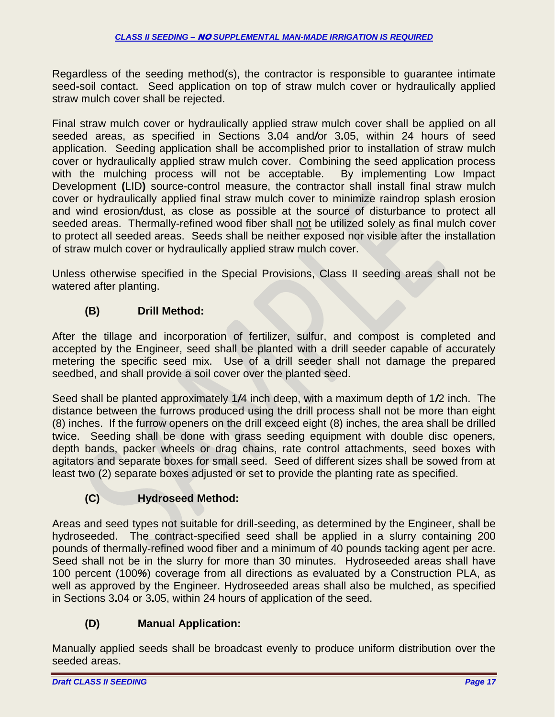Regardless of the seeding method(s), the contractor is responsible to guarantee intimate seed**-**soil contact. Seed application on top of straw mulch cover or hydraulically applied straw mulch cover shall be rejected.

Final straw mulch cover or hydraulically applied straw mulch cover shall be applied on all seeded areas, as specified in Sections 3**.**04 and*/*or 3**.**05, within 24 hours of seed application. Seeding application shall be accomplished prior to installation of straw mulch cover or hydraulically applied straw mulch cover. Combining the seed application process with the mulching process will not be acceptable. By implementing Low Impact Development **(**LID**)** source-control measure, the contractor shall install final straw mulch cover or hydraulically applied final straw mulch cover to minimize raindrop splash erosion and wind erosion*/*dust, as close as possible at the source of disturbance to protect all seeded areas. Thermally-refined wood fiber shall not be utilized solely as final mulch cover to protect all seeded areas. Seeds shall be neither exposed nor visible after the installation of straw mulch cover or hydraulically applied straw mulch cover.

Unless otherwise specified in the Special Provisions, Class II seeding areas shall not be watered after planting.

# **(B) Drill Method:**

After the tillage and incorporation of fertilizer, sulfur, and compost is completed and accepted by the Engineer, seed shall be planted with a drill seeder capable of accurately metering the specific seed mix. Use of a drill seeder shall not damage the prepared seedbed, and shall provide a soil cover over the planted seed.

Seed shall be planted approximately 1*/*4 inch deep, with a maximum depth of 1*/*2 inch. The distance between the furrows produced using the drill process shall not be more than eight (8) inches. If the furrow openers on the drill exceed eight (8) inches, the area shall be drilled twice. Seeding shall be done with grass seeding equipment with double disc openers, depth bands, packer wheels or drag chains, rate control attachments, seed boxes with agitators and separate boxes for small seed. Seed of different sizes shall be sowed from at least two (2) separate boxes adjusted or set to provide the planting rate as specified.

# **(C) Hydroseed Method:**

Areas and seed types not suitable for drill-seeding, as determined by the Engineer, shall be hydroseeded. The contract-specified seed shall be applied in a slurry containing 200 pounds of thermally-refined wood fiber and a minimum of 40 pounds tacking agent per acre. Seed shall not be in the slurry for more than 30 minutes. Hydroseeded areas shall have 100 percent (100*%*) coverage from all directions as evaluated by a Construction PLA, as well as approved by the Engineer. Hydroseeded areas shall also be mulched, as specified in Sections 3**.**04 or 3**.**05, within 24 hours of application of the seed.

# **(D) Manual Application:**

Manually applied seeds shall be broadcast evenly to produce uniform distribution over the seeded areas.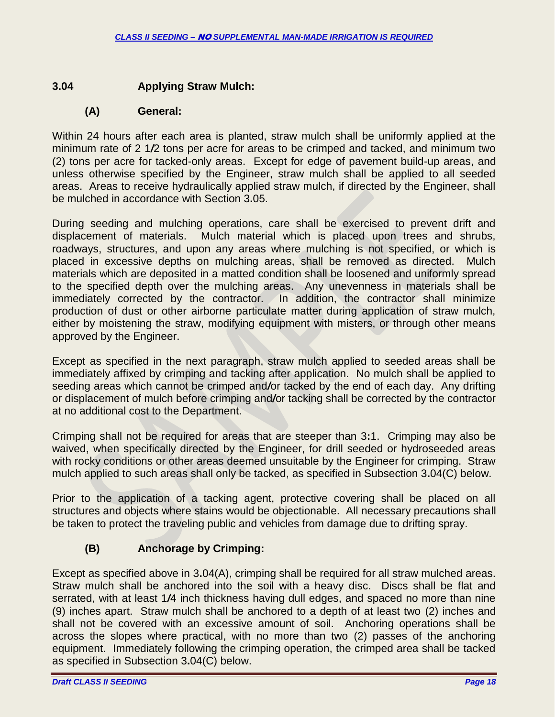### **3.04 Applying Straw Mulch:**

#### **(A) General:**

Within 24 hours after each area is planted, straw mulch shall be uniformly applied at the minimum rate of 2 1*/*2 tons per acre for areas to be crimped and tacked, and minimum two (2) tons per acre for tacked-only areas. Except for edge of pavement build-up areas, and unless otherwise specified by the Engineer, straw mulch shall be applied to all seeded areas. Areas to receive hydraulically applied straw mulch, if directed by the Engineer, shall be mulched in accordance with Section 3**.**05.

During seeding and mulching operations, care shall be exercised to prevent drift and displacement of materials. Mulch material which is placed upon trees and shrubs, roadways, structures, and upon any areas where mulching is not specified, or which is placed in excessive depths on mulching areas, shall be removed as directed. Mulch materials which are deposited in a matted condition shall be loosened and uniformly spread to the specified depth over the mulching areas. Any unevenness in materials shall be immediately corrected by the contractor. In addition, the contractor shall minimize production of dust or other airborne particulate matter during application of straw mulch, either by moistening the straw, modifying equipment with misters, or through other means approved by the Engineer.

Except as specified in the next paragraph, straw mulch applied to seeded areas shall be immediately affixed by crimping and tacking after application. No mulch shall be applied to seeding areas which cannot be crimped and*/*or tacked by the end of each day. Any drifting or displacement of mulch before crimping and*/*or tacking shall be corrected by the contractor at no additional cost to the Department.

Crimping shall not be required for areas that are steeper than 3**:**1. Crimping may also be waived, when specifically directed by the Engineer, for drill seeded or hydroseeded areas with rocky conditions or other areas deemed unsuitable by the Engineer for crimping. Straw mulch applied to such areas shall only be tacked, as specified in Subsection 3**.**04(C) below.

Prior to the application of a tacking agent, protective covering shall be placed on all structures and objects where stains would be objectionable. All necessary precautions shall be taken to protect the traveling public and vehicles from damage due to drifting spray.

# **(B) Anchorage by Crimping:**

Except as specified above in 3**.**04(A), crimping shall be required for all straw mulched areas. Straw mulch shall be anchored into the soil with a heavy disc. Discs shall be flat and serrated, with at least 1*/*4 inch thickness having dull edges, and spaced no more than nine (9) inches apart. Straw mulch shall be anchored to a depth of at least two (2) inches and shall not be covered with an excessive amount of soil. Anchoring operations shall be across the slopes where practical, with no more than two (2) passes of the anchoring equipment. Immediately following the crimping operation, the crimped area shall be tacked as specified in Subsection 3**.**04(C) below.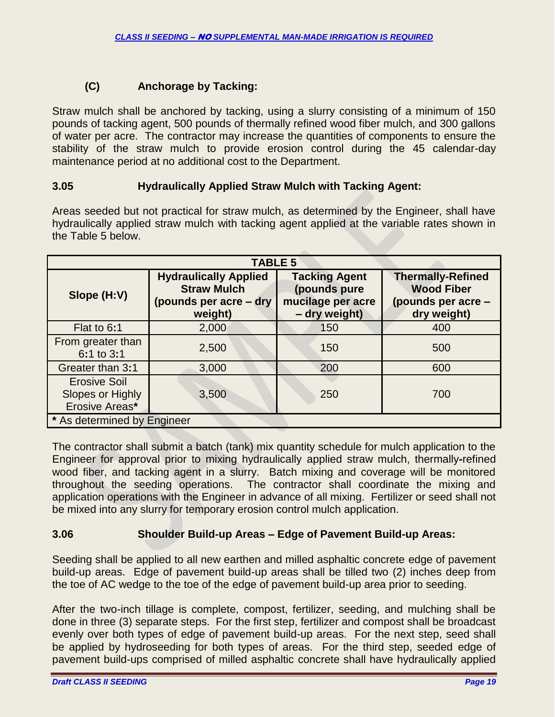# **(C) Anchorage by Tacking:**

Straw mulch shall be anchored by tacking, using a slurry consisting of a minimum of 150 pounds of tacking agent, 500 pounds of thermally refined wood fiber mulch, and 300 gallons of water per acre. The contractor may increase the quantities of components to ensure the stability of the straw mulch to provide erosion control during the 45 calendar-day maintenance period at no additional cost to the Department.

## **3.05 Hydraulically Applied Straw Mulch with Tacking Agent:**

Areas seeded but not practical for straw mulch, as determined by the Engineer, shall have hydraulically applied straw mulch with tacking agent applied at the variable rates shown in the Table 5 below.

| <b>TABLE 5</b>                                            |                                                                                         |                                                                            |                                                                                    |
|-----------------------------------------------------------|-----------------------------------------------------------------------------------------|----------------------------------------------------------------------------|------------------------------------------------------------------------------------|
| Slope (H:V)                                               | <b>Hydraulically Applied</b><br><b>Straw Mulch</b><br>(pounds per acre - dry<br>weight) | <b>Tacking Agent</b><br>(pounds pure<br>mucilage per acre<br>- dry weight) | <b>Thermally-Refined</b><br><b>Wood Fiber</b><br>(pounds per acre -<br>dry weight) |
| Flat to 6:1                                               | 2,000                                                                                   | 150                                                                        | 400                                                                                |
| From greater than<br>6:1 to 3:1                           | 2,500                                                                                   | 150                                                                        | 500                                                                                |
| Greater than 3:1                                          | 3,000                                                                                   | 200                                                                        | 600                                                                                |
| <b>Erosive Soil</b><br>Slopes or Highly<br>Erosive Areas* | 3,500                                                                                   | 250                                                                        | 700                                                                                |
| * As determined by Engineer                               |                                                                                         |                                                                            |                                                                                    |

The contractor shall submit a batch (tank) mix quantity schedule for mulch application to the Engineer for approval prior to mixing hydraulically applied straw mulch, thermally**-**refined wood fiber, and tacking agent in a slurry. Batch mixing and coverage will be monitored throughout the seeding operations. The contractor shall coordinate the mixing and application operations with the Engineer in advance of all mixing. Fertilizer or seed shall not be mixed into any slurry for temporary erosion control mulch application.

## **3.06 Shoulder Build-up Areas – Edge of Pavement Build-up Areas:**

Seeding shall be applied to all new earthen and milled asphaltic concrete edge of pavement build-up areas. Edge of pavement build-up areas shall be tilled two (2) inches deep from the toe of AC wedge to the toe of the edge of pavement build-up area prior to seeding.

After the two-inch tillage is complete, compost, fertilizer, seeding, and mulching shall be done in three (3) separate steps. For the first step, fertilizer and compost shall be broadcast evenly over both types of edge of pavement build-up areas. For the next step, seed shall be applied by hydroseeding for both types of areas. For the third step, seeded edge of pavement build-ups comprised of milled asphaltic concrete shall have hydraulically applied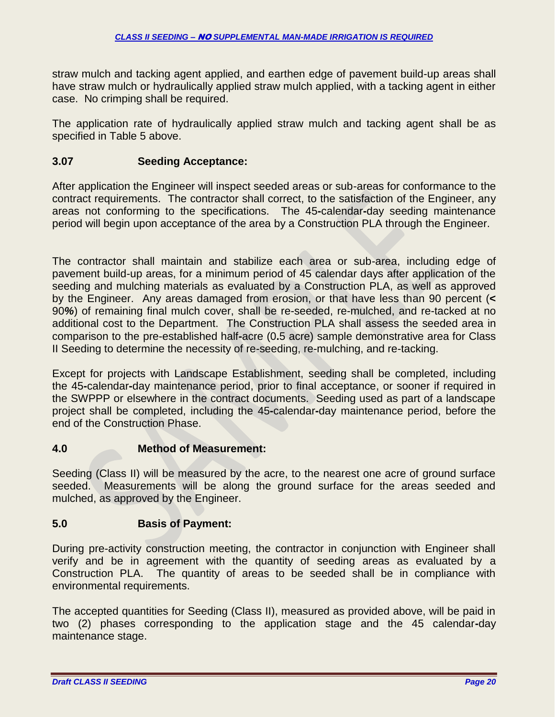straw mulch and tacking agent applied, and earthen edge of pavement build-up areas shall have straw mulch or hydraulically applied straw mulch applied, with a tacking agent in either case. No crimping shall be required.

The application rate of hydraulically applied straw mulch and tacking agent shall be as specified in Table 5 above.

## **3.07 Seeding Acceptance:**

After application the Engineer will inspect seeded areas or sub-areas for conformance to the contract requirements. The contractor shall correct, to the satisfaction of the Engineer, any areas not conforming to the specifications. The 45**-**calendar**-**day seeding maintenance period will begin upon acceptance of the area by a Construction PLA through the Engineer.

The contractor shall maintain and stabilize each area or sub-area, including edge of pavement build-up areas, for a minimum period of 45 calendar days after application of the seeding and mulching materials as evaluated by a Construction PLA, as well as approved by the Engineer. Any areas damaged from erosion, or that have less than 90 percent (**<** 90*%*) of remaining final mulch cover, shall be re-seeded, re-mulched, and re-tacked at no additional cost to the Department. The Construction PLA shall assess the seeded area in comparison to the pre-established half**-**acre (0**.**5 acre) sample demonstrative area for Class II Seeding to determine the necessity of re-seeding, re-mulching, and re-tacking.

Except for projects with Landscape Establishment, seeding shall be completed, including the 45**-**calendar**-**day maintenance period, prior to final acceptance, or sooner if required in the SWPPP or elsewhere in the contract documents. Seeding used as part of a landscape project shall be completed, including the 45**-**calendar**-**day maintenance period, before the end of the Construction Phase.

## **4.0 Method of Measurement:**

Seeding (Class II) will be measured by the acre, to the nearest one acre of ground surface seeded. Measurements will be along the ground surface for the areas seeded and mulched, as approved by the Engineer.

## **5.0 Basis of Payment:**

During pre-activity construction meeting, the contractor in conjunction with Engineer shall verify and be in agreement with the quantity of seeding areas as evaluated by a Construction PLA. The quantity of areas to be seeded shall be in compliance with environmental requirements.

The accepted quantities for Seeding (Class II), measured as provided above, will be paid in two (2) phases corresponding to the application stage and the 45 calendar**-**day maintenance stage.